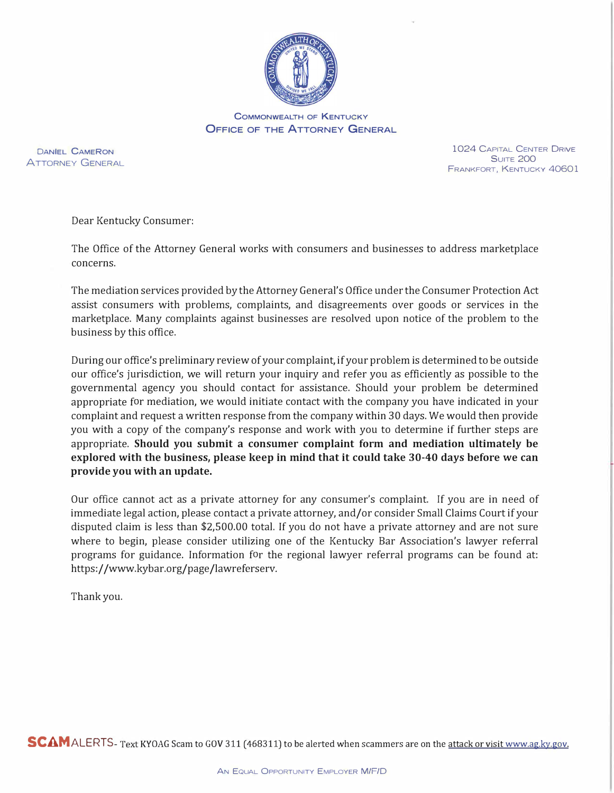

COMMONWEALTH OF KENTUCKY **OFFICE OF THE ATTORNEY GENERAL** 

DANIEL CAMERON ATTORNEY GENERAL

1024 CAPITAL CENTER DRIVE **SUITE 200** FRANKFORT, KENTUCKY 40601

Dear Kentucky Consumer:

The Office of the Attorney General works with consumers and businesses to address marketplace concerns.

The mediation services provided by the Attorney General's Office under the Consumer Protection Act assist consumers with problems, complaints, and disagreements over goods or services in the marketplace. Many complaints against businesses are resolved upon notice of the problem to the business by this office.

During our office's preliminary review of your complaint, if your problem is determined to be outside our office's jurisdiction, we will return your inquiry and refer you as efficiently as possible to the governmental agency you should contact for assistance. Should your problem be determined appropriate for mediation, we would initiate contact with the company you have indicated in your complaint and request a written response from the company within 30 days. We would then provide you with a copy of the company's response and work with you to determine if further steps are appropriate. **Should you submit a consumer complaint form and mediation ultimately be explored with the business, please keep in mind that it could take 30-40 days before we can provide you with an update.** 

Our office cannot act as a private attorney for any consumer's complaint. If you are in need of immediate legal action, please contact a private attorney, and/or consider Small Claims Court if your disputed claim is less than \$2,500.00 total. If you do not have a private attorney and are not sure where to begin, please consider utilizing one of the Kentucky Bar Association's lawyer referral programs for guidance. Information for the regional lawyer referral programs can be found at: https://www.kybar.org/page/lawreferserv.

Thank you.

**SCAM** ALERTS-Text KYOAG Scam to GOV 311 (468311) to be alerted when scammers are on the attack or visit www.ag.ky.gov.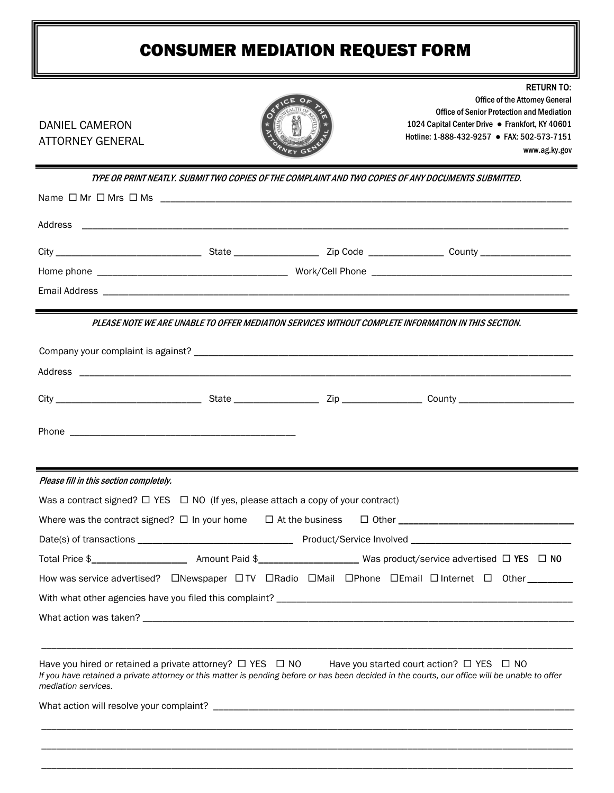## CONSUMER MEDIATION REQUEST FORM

| <b>DANIEL CAMERON</b><br><b>ATTORNEY GENERAL</b>                                                                                               |              | <b>RETURN TO:</b><br><b>Office of the Attorney General</b><br><b>Office of Senior Protection and Mediation</b><br>1024 Capital Center Drive . Frankfort, KY 40601<br>Hotline: 1-888-432-9257 • FAX: 502-573-7151<br>www.ag.ky.gov |
|------------------------------------------------------------------------------------------------------------------------------------------------|--------------|-----------------------------------------------------------------------------------------------------------------------------------------------------------------------------------------------------------------------------------|
|                                                                                                                                                |              | TYPE OR PRINT NEATLY. SUBMIT TWO COPIES OF THE COMPLAINT AND TWO COPIES OF ANY DOCUMENTS SUBMITTED.                                                                                                                               |
|                                                                                                                                                |              |                                                                                                                                                                                                                                   |
|                                                                                                                                                |              |                                                                                                                                                                                                                                   |
|                                                                                                                                                |              |                                                                                                                                                                                                                                   |
|                                                                                                                                                |              |                                                                                                                                                                                                                                   |
|                                                                                                                                                |              |                                                                                                                                                                                                                                   |
|                                                                                                                                                |              | PLEASE NOTE WE ARE UNABLE TO OFFER MEDIATION SERVICES WITHOUT COMPLETE INFORMATION IN THIS SECTION.                                                                                                                               |
|                                                                                                                                                |              |                                                                                                                                                                                                                                   |
|                                                                                                                                                |              |                                                                                                                                                                                                                                   |
|                                                                                                                                                |              |                                                                                                                                                                                                                                   |
|                                                                                                                                                |              |                                                                                                                                                                                                                                   |
|                                                                                                                                                |              |                                                                                                                                                                                                                                   |
| Please fill in this section completely.                                                                                                        |              |                                                                                                                                                                                                                                   |
| Was a contract signed? $\Box$ YES $\Box$ NO (If yes, please attach a copy of your contract)                                                    |              |                                                                                                                                                                                                                                   |
| Where was the contract signed? $\Box$ In your home $\Box$ At the business                                                                      | $\Box$ Other |                                                                                                                                                                                                                                   |
|                                                                                                                                                |              |                                                                                                                                                                                                                                   |
|                                                                                                                                                |              |                                                                                                                                                                                                                                   |
|                                                                                                                                                |              | How was service advertised? CNewspaper CITV CRadio CMail CPhone CEmail CInternet C Other _______                                                                                                                                  |
|                                                                                                                                                |              |                                                                                                                                                                                                                                   |
|                                                                                                                                                |              |                                                                                                                                                                                                                                   |
|                                                                                                                                                |              |                                                                                                                                                                                                                                   |
| Have you hired or retained a private attorney? $\Box$ YES $\Box$ NO Have you started court action? $\Box$ YES $\Box$ NO<br>mediation services. |              | If you have retained a private attorney or this matter is pending before or has been decided in the courts, our office will be unable to offer                                                                                    |
|                                                                                                                                                |              |                                                                                                                                                                                                                                   |
|                                                                                                                                                |              |                                                                                                                                                                                                                                   |
|                                                                                                                                                |              |                                                                                                                                                                                                                                   |
|                                                                                                                                                |              |                                                                                                                                                                                                                                   |